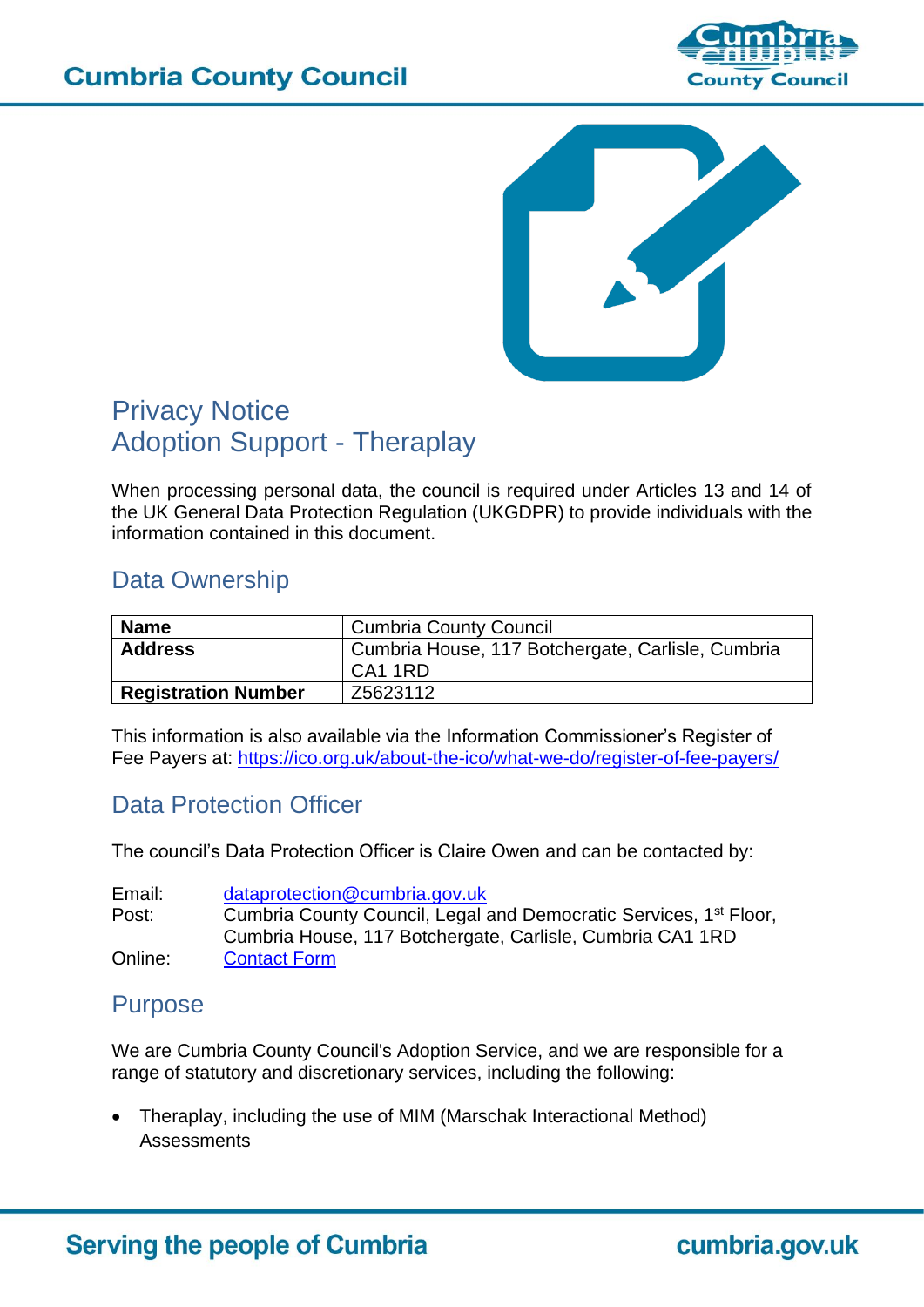



# Privacy Notice Adoption Support - Theraplay

When processing personal data, the council is required under Articles 13 and 14 of the UK General Data Protection Regulation (UKGDPR) to provide individuals with the information contained in this document.

# Data Ownership

| <b>Name</b>                | <b>Cumbria County Council</b>                     |
|----------------------------|---------------------------------------------------|
| <b>Address</b>             | Cumbria House, 117 Botchergate, Carlisle, Cumbria |
|                            | CA1 1RD                                           |
| <b>Registration Number</b> | Z5623112                                          |

This information is also available via the Information Commissioner's Register of Fee Payers at:<https://ico.org.uk/about-the-ico/what-we-do/register-of-fee-payers/>

# Data Protection Officer

The council's Data Protection Officer is Claire Owen and can be contacted by:

Email: [dataprotection@cumbria.gov.uk](mailto:dataprotection@cumbria.gov.uk) Post: Cumbria County Council, Legal and Democratic Services, 1<sup>st</sup> Floor, Cumbria House, 117 Botchergate, Carlisle, Cumbria CA1 1RD Online: [Contact Form](https://www.cumbria.gov.uk/admin/contactdpo.asp)

# <span id="page-0-0"></span>Purpose

We are Cumbria County Council's Adoption Service, and we are responsible for a range of statutory and discretionary services, including the following:

• Theraplay, including the use of MIM (Marschak Interactional Method) **Assessments**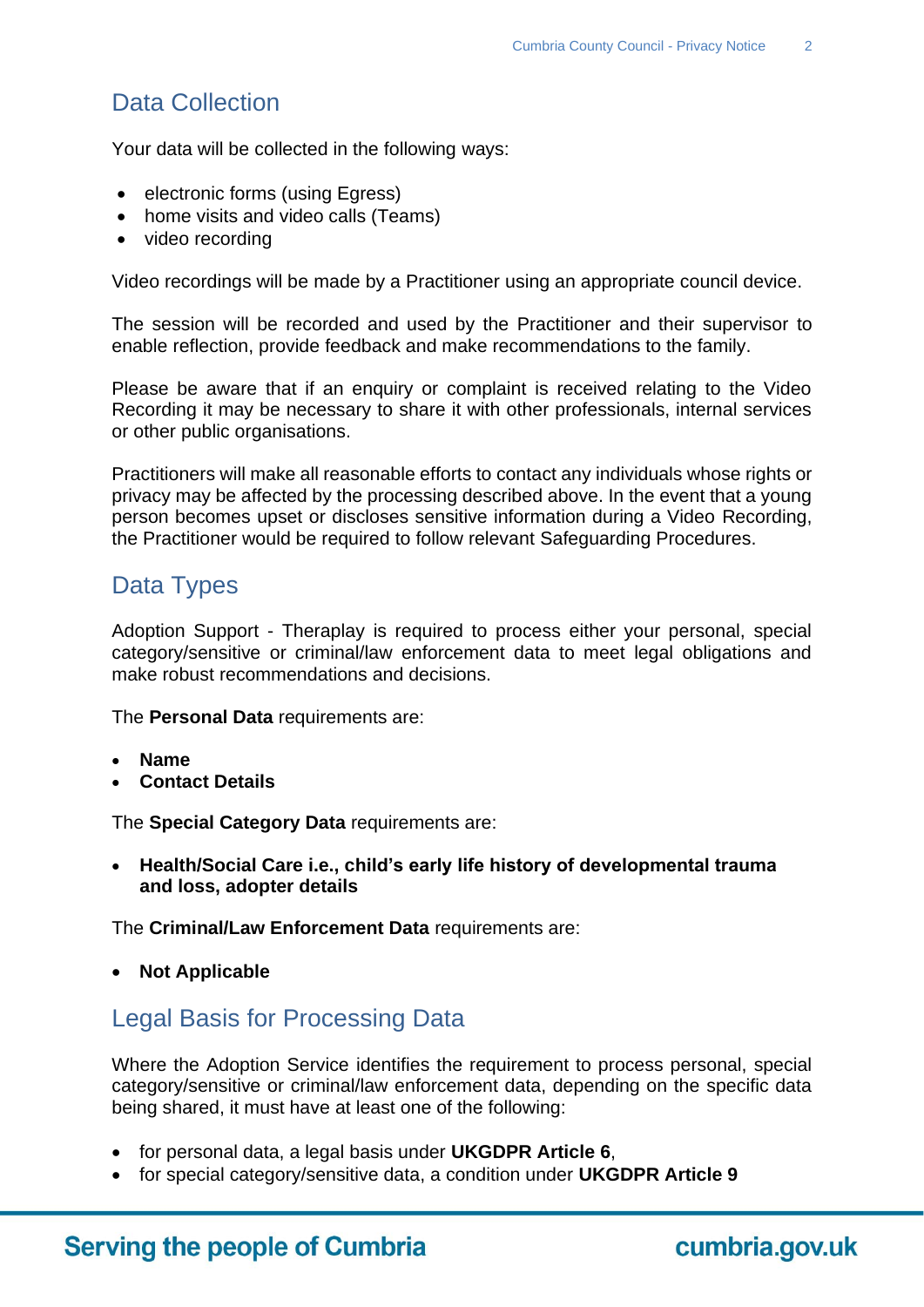# Data Collection

Your data will be collected in the following ways:

- electronic forms (using Egress)
- home visits and video calls (Teams)
- video recording

Video recordings will be made by a Practitioner using an appropriate council device.

The session will be recorded and used by the Practitioner and their supervisor to enable reflection, provide feedback and make recommendations to the family.

Please be aware that if an enquiry or complaint is received relating to the Video Recording it may be necessary to share it with other professionals, internal services or other public organisations.

Practitioners will make all reasonable efforts to contact any individuals whose rights or privacy may be affected by the processing described above. In the event that a young person becomes upset or discloses sensitive information during a Video Recording, the Practitioner would be required to follow relevant Safeguarding Procedures.

## <span id="page-1-0"></span>Data Types

Adoption Support - Theraplay is required to process either your personal, special category/sensitive or criminal/law enforcement data to meet legal obligations and make robust recommendations and decisions.

The **Personal Data** requirements are:

- **Name**
- **Contact Details**

The **Special Category Data** requirements are:

• **Health/Social Care i.e., child's early life history of developmental trauma and loss, adopter details**

The **Criminal/Law Enforcement Data** requirements are:

• **Not Applicable**

### Legal Basis for Processing Data

Where the Adoption Service identifies the requirement to process personal, special category/sensitive or criminal/law enforcement data, depending on the specific data being shared, it must have at least one of the following:

- for personal data, a legal basis under **UKGDPR Article 6**,
- for special category/sensitive data, a condition under **UKGDPR Article 9**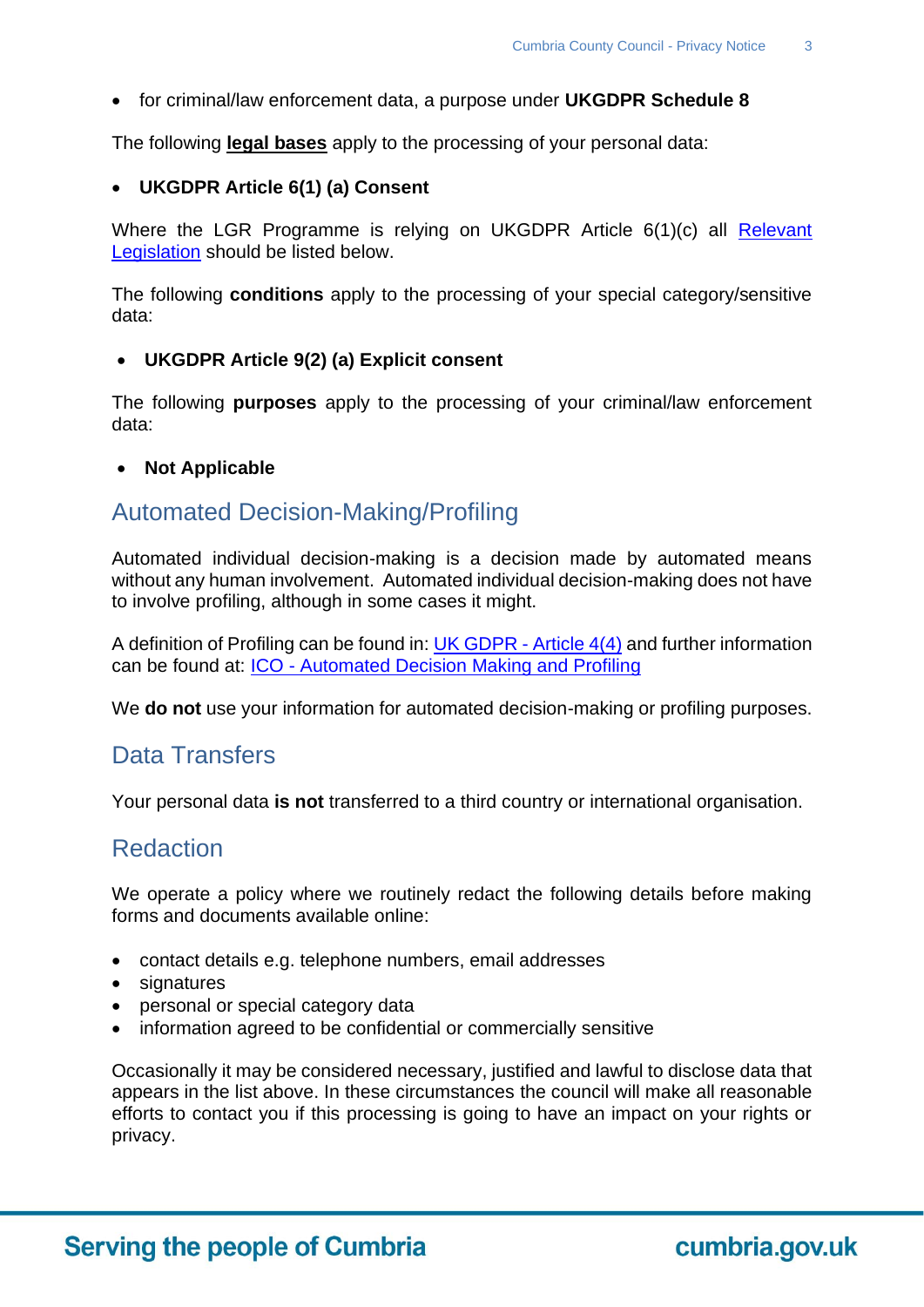• for criminal/law enforcement data, a purpose under **UKGDPR Schedule 8**

The following **legal bases** apply to the processing of your personal data:

#### • **UKGDPR Article 6(1) (a) Consent**

Where the LGR Programme is relying on UKGDPR Article 6(1)(c) all Relevant [Legislation](#page-2-0) should be listed below.

The following **conditions** apply to the processing of your special category/sensitive data:

#### • **UKGDPR Article 9(2) (a) Explicit consent**

The following **purposes** apply to the processing of your criminal/law enforcement data:

#### • **Not Applicable**

### <span id="page-2-0"></span>Automated Decision-Making/Profiling

Automated individual decision-making is a decision made by automated means without any human involvement. Automated individual decision-making does not have to involve profiling, although in some cases it might.

A definition of Profiling can be found in: [UK GDPR -](https://uk-gdpr.org/chapter-1-article-4/) Article 4(4) and further information can be found at: ICO - [Automated Decision Making and Profiling](https://ico.org.uk/for-organisations/guide-to-data-protection/guide-to-the-general-data-protection-regulation-gdpr/individual-rights/rights-related-to-automated-decision-making-including-profiling/)

We **do not** use your information for automated decision-making or profiling purposes.

#### Data Transfers

Your personal data **is not** transferred to a third country or international organisation.

#### Redaction

We operate a policy where we routinely redact the following details before making forms and documents available online:

- contact details e.g. telephone numbers, email addresses
- signatures
- personal or special category data
- information agreed to be confidential or commercially sensitive

Occasionally it may be considered necessary, justified and lawful to disclose data that appears in the list above. In these circumstances the council will make all reasonable efforts to contact you if this processing is going to have an impact on your rights or privacy.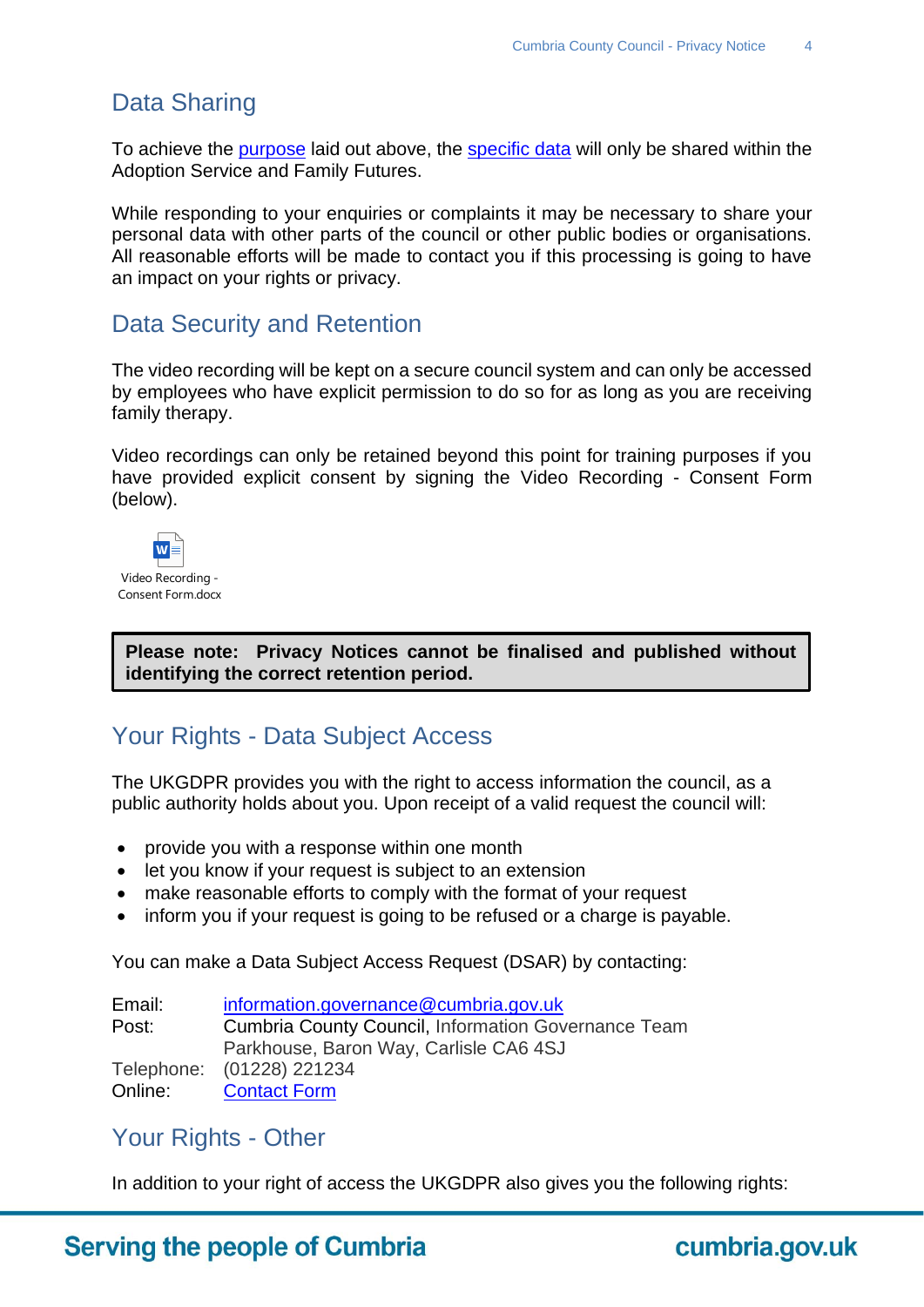# Data Sharing

To achieve the [purpose](#page-0-0) laid out above, the [specific data](#page-1-0) will only be shared within the Adoption Service and Family Futures.

While responding to your enquiries or complaints it may be necessary to share your personal data with other parts of the council or other public bodies or organisations. All reasonable efforts will be made to contact you if this processing is going to have an impact on your rights or privacy.

### Data Security and Retention

The video recording will be kept on a secure council system and can only be accessed by employees who have explicit permission to do so for as long as you are receiving family therapy.

Video recordings can only be retained beyond this point for training purposes if you have provided explicit consent by signing the Video Recording - Consent Form (below).



**Please note: Privacy Notices cannot be finalised and published without identifying the correct retention period.**

# Your Rights - Data Subject Access

The UKGDPR provides you with the right to access information the council, as a public authority holds about you. Upon receipt of a valid request the council will:

- provide you with a response within one month
- let you know if your request is subject to an extension
- make reasonable efforts to comply with the format of your request
- inform you if your request is going to be refused or a charge is payable.

You can make a Data Subject Access Request (DSAR) by contacting:

| Email: | information.governance@cumbria.gov.uk                      |
|--------|------------------------------------------------------------|
| Post:  | <b>Cumbria County Council, Information Governance Team</b> |
|        | Parkhouse, Baron Way, Carlisle CA6 4SJ                     |
|        | Telephone: (01228) 221234                                  |
|        | Online: Contact Form                                       |

#### Your Rights - Other

In addition to your right of access the UKGDPR also gives you the following rights:

# **Serving the people of Cumbria**

cumbria.gov.uk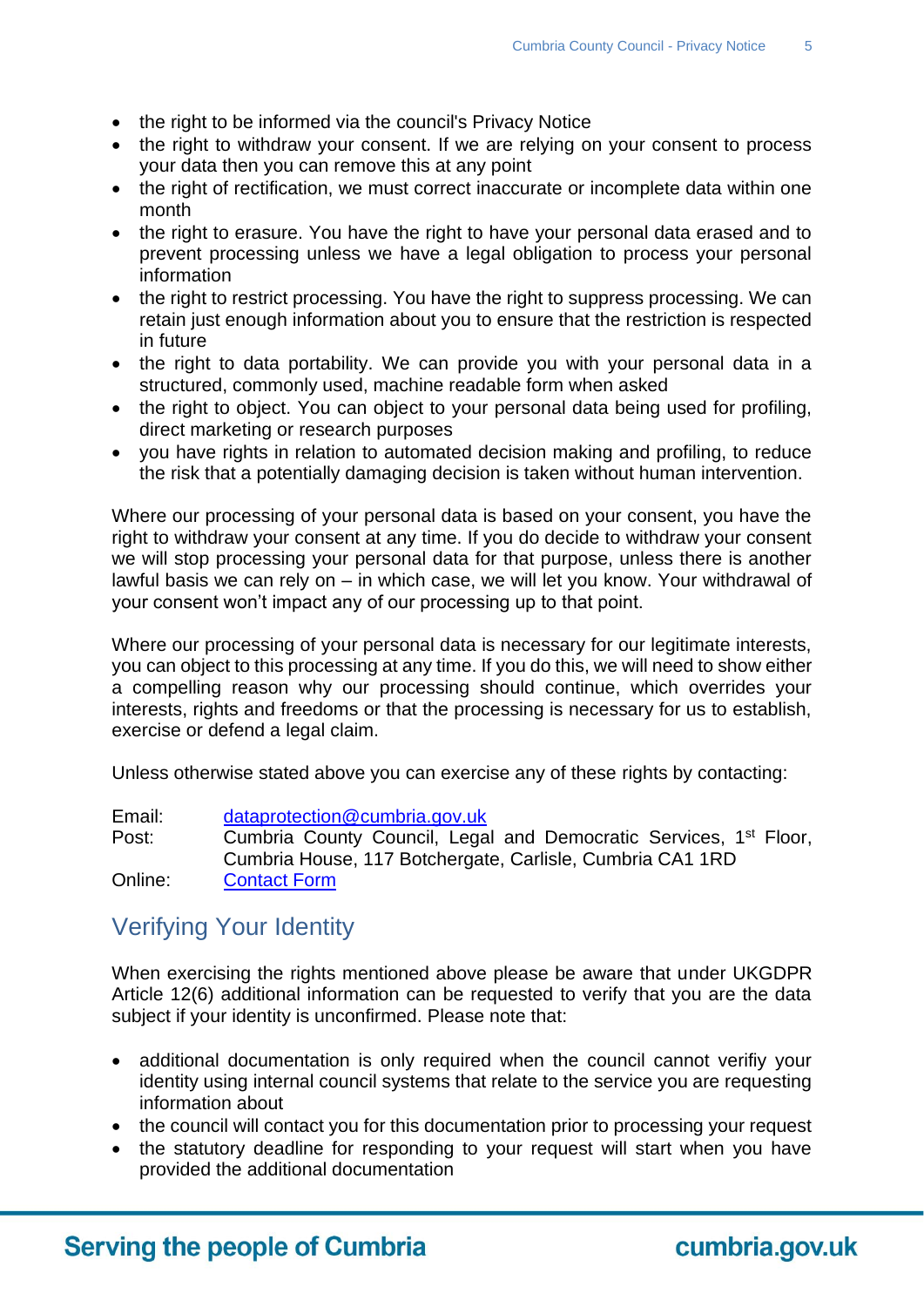- the right to be informed via the council's Privacy Notice
- the right to withdraw your consent. If we are relying on your consent to process your data then you can remove this at any point
- the right of rectification, we must correct inaccurate or incomplete data within one month
- the right to erasure. You have the right to have your personal data erased and to prevent processing unless we have a legal obligation to process your personal information
- the right to restrict processing. You have the right to suppress processing. We can retain just enough information about you to ensure that the restriction is respected in future
- the right to data portability. We can provide you with your personal data in a structured, commonly used, machine readable form when asked
- the right to object. You can object to your personal data being used for profiling, direct marketing or research purposes
- you have rights in relation to automated decision making and profiling, to reduce the risk that a potentially damaging decision is taken without human intervention.

Where our processing of your personal data is based on your consent, you have the right to withdraw your consent at any time. If you do decide to withdraw your consent we will stop processing your personal data for that purpose, unless there is another lawful basis we can rely on – in which case, we will let you know. Your withdrawal of your consent won't impact any of our processing up to that point.

Where our processing of your personal data is necessary for our legitimate interests, you can object to this processing at any time. If you do this, we will need to show either a compelling reason why our processing should continue, which overrides your interests, rights and freedoms or that the processing is necessary for us to establish, exercise or defend a legal claim.

Unless otherwise stated above you can exercise any of these rights by contacting:

Email: [dataprotection@cumbria.gov.uk](mailto:dataprotection@cumbria.gov.uk) Post: Cumbria County Council, Legal and Democratic Services, 1<sup>st</sup> Floor, Cumbria House, 117 Botchergate, Carlisle, Cumbria CA1 1RD Online: [Contact Form](https://www.cumbria.gov.uk/admin/contactdpo.asp)

# Verifying Your Identity

When exercising the rights mentioned above please be aware that under UKGDPR Article 12(6) additional information can be requested to verify that you are the data subject if your identity is unconfirmed. Please note that:

- additional documentation is only required when the council cannot verifiy your identity using internal council systems that relate to the service you are requesting information about
- the council will contact you for this documentation prior to processing your request
- the statutory deadline for responding to your request will start when you have provided the additional documentation

# **Serving the people of Cumbria**

cumbria.gov.uk